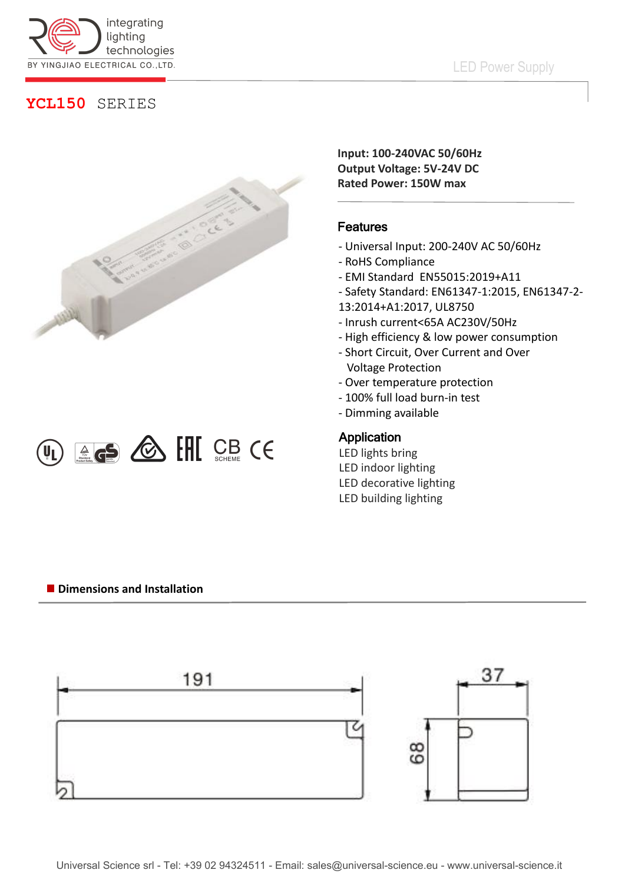

# **YCL150** SERIES



 $\omega_{\text{L}}$   $\text{G5}$   $\text{C}$   $\text{C}$   $\text{C}$   $\text{C}$   $\text{C}$   $\text{C}$   $\text{C}$   $\text{C}$   $\text{C}$   $\text{C}$ 

**Input: 100-240VAC 50/60Hz Output Voltage: 5V-24V DC Rated Power: 150W max**

### Features

- Universal Input: 200-240V AC 50/60Hz
- RoHS Compliance
- EMI Standard EN55015:2019+A11
- Safety Standard: EN61347-1:2015, EN61347-2-
- 13:2014+A1:2017, UL8750
- Inrush current<65A AC230V/50Hz
- High efficiency & low power consumption
- Short Circuit, Over Current and Over Voltage Protection
- Over temperature protection
- 100% full load burn-in test
- Dimming available

### Application

LED lights bring LED indoor lighting LED decorative lighting LED building lighting

#### **Dimensions and Installation**

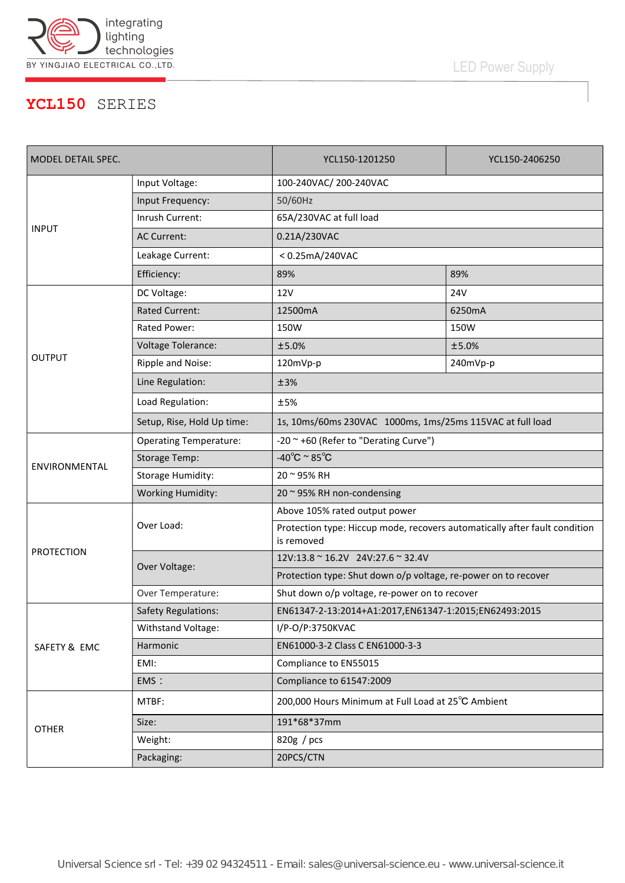

# LED Power Supply

## **YCL150** SERIES

| MODEL DETAIL SPEC. |                               | YCL150-1201250                                                                           | YCL150-2406250 |
|--------------------|-------------------------------|------------------------------------------------------------------------------------------|----------------|
| <b>INPUT</b>       | Input Voltage:                | 100-240VAC/200-240VAC                                                                    |                |
|                    | Input Frequency:              | 50/60Hz                                                                                  |                |
|                    | Inrush Current:               | 65A/230VAC at full load                                                                  |                |
|                    | <b>AC Current:</b>            | 0.21A/230VAC                                                                             |                |
|                    | Leakage Current:              | <0.25mA/240VAC                                                                           |                |
|                    | Efficiency:                   | 89%                                                                                      | 89%            |
| <b>OUTPUT</b>      | DC Voltage:                   | 12V                                                                                      | <b>24V</b>     |
|                    | <b>Rated Current:</b>         | 12500mA                                                                                  | 6250mA         |
|                    | Rated Power:                  | 150W                                                                                     | 150W           |
|                    | <b>Voltage Tolerance:</b>     | ±5.0%                                                                                    | ±5.0%          |
|                    | Ripple and Noise:             | 120mVp-p                                                                                 | 240mVp-p       |
|                    | Line Regulation:              | ±3%                                                                                      |                |
|                    | Load Regulation:              | ±5%                                                                                      |                |
|                    | Setup, Rise, Hold Up time:    | 1s, 10ms/60ms 230VAC 1000ms, 1ms/25ms 115VAC at full load                                |                |
| ENVIRONMENTAL      | <b>Operating Temperature:</b> | -20 ~ +60 (Refer to "Derating Curve")                                                    |                |
|                    | <b>Storage Temp:</b>          | -40 $^{\circ}$ C ~ 85 $^{\circ}$ C                                                       |                |
|                    | <b>Storage Humidity:</b>      | 20 ~ 95% RH                                                                              |                |
|                    | <b>Working Humidity:</b>      | 20 ~ 95% RH non-condensing                                                               |                |
| <b>PROTECTION</b>  | Over Load:                    | Above 105% rated output power                                                            |                |
|                    |                               | Protection type: Hiccup mode, recovers automatically after fault condition<br>is removed |                |
|                    | Over Voltage:                 | 12V:13.8 ~ 16.2V 24V:27.6 ~ 32.4V                                                        |                |
|                    |                               | Protection type: Shut down o/p voltage, re-power on to recover                           |                |
|                    | Over Temperature:             | Shut down o/p voltage, re-power on to recover                                            |                |
| SAFETY & EMC       | <b>Safety Regulations:</b>    | EN61347-2-13:2014+A1:2017,EN61347-1:2015;EN62493:2015                                    |                |
|                    | Withstand Voltage:            | I/P-O/P:3750KVAC                                                                         |                |
|                    | Harmonic                      | EN61000-3-2 Class C EN61000-3-3                                                          |                |
|                    | EMI:                          | Compliance to EN55015                                                                    |                |
|                    | EMS:                          | Compliance to 61547:2009                                                                 |                |
| <b>OTHER</b>       | MTBF:                         | 200,000 Hours Minimum at Full Load at 25°C Ambient                                       |                |
|                    | Size:                         | 191*68*37mm                                                                              |                |
|                    | Weight:                       | 820g / pcs                                                                               |                |
|                    | Packaging:                    | 20PCS/CTN                                                                                |                |